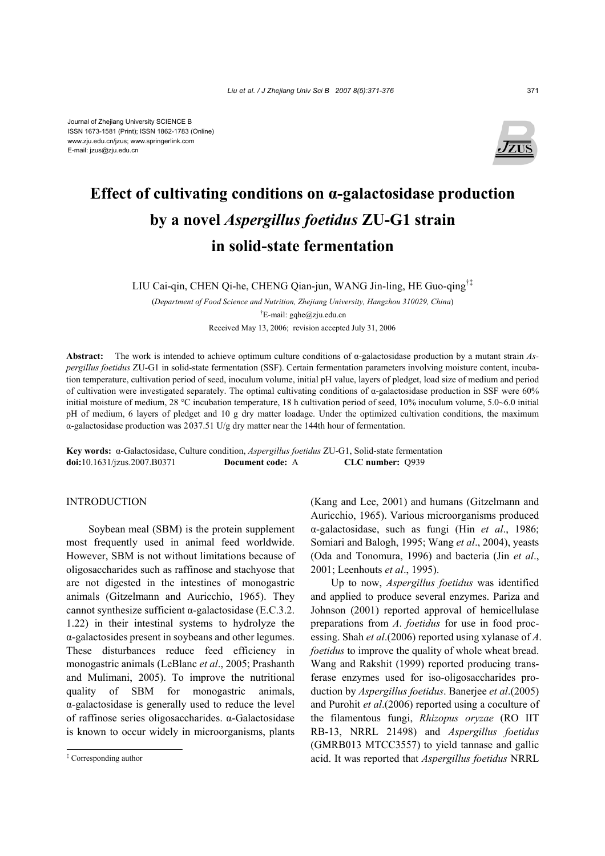

# **Effect of cultivating conditions on α-galactosidase production by a novel** *Aspergillus foetidus* **ZU-G1 strain in solid-state fermentation**

LIU Cai-qin, CHEN Qi-he, CHENG Qian-jun, WANG Jin-ling, HE Guo-qing†‡

(*Department of Food Science and Nutrition, Zhejiang University, Hangzhou 310029, China*) † E-mail: gqhe@zju.edu.cn

Received May 13, 2006; revision accepted July 31, 2006

**Abstract:** The work is intended to achieve optimum culture conditions of α-galactosidase production by a mutant strain *Aspergillus foetidus* ZU-G1 in solid-state fermentation (SSF). Certain fermentation parameters involving moisture content, incubation temperature, cultivation period of seed, inoculum volume, initial pH value, layers of pledget, load size of medium and period of cultivation were investigated separately. The optimal cultivating conditions of α-galactosidase production in SSF were 60% initial moisture of medium, 28 °C incubation temperature, 18 h cultivation period of seed, 10% inoculum volume, 5.0~6.0 initial pH of medium, 6 layers of pledget and 10 g dry matter loadage. Under the optimized cultivation conditions, the maximum α-galactosidase production was 2037.51 U/g dry matter near the 144th hour of fermentation.

**Key words:** α-Galactosidase, Culture condition, *Aspergillus foetidus* ZU-G1, Solid-state fermentation **doi:**10.1631/jzus.2007.B0371 **Document code:** A **CLC number:** Q939

#### INTRODUCTION

Soybean meal (SBM) is the protein supplement most frequently used in animal feed worldwide. However, SBM is not without limitations because of oligosaccharides such as raffinose and stachyose that are not digested in the intestines of monogastric animals (Gitzelmann and Auricchio, 1965). They cannot synthesize sufficient  $\alpha$ -galactosidase (E.C.3.2. 1.22) in their intestinal systems to hydrolyze the α-galactosides present in soybeans and other legumes. These disturbances reduce feed efficiency in monogastric animals (LeBlanc *et al*., 2005; Prashanth and Mulimani, 2005). To improve the nutritional quality of SBM for monogastric animals, α-galactosidase is generally used to reduce the level of raffinose series oligosaccharides. α-Galactosidase is known to occur widely in microorganisms, plants

(Kang and Lee, 2001) and humans (Gitzelmann and Auricchio, 1965). Various microorganisms produced α-galactosidase, such as fungi (Hin *et al*., 1986; Somiari and Balogh, 1995; Wang *et al*., 2004), yeasts (Oda and Tonomura, 1996) and bacteria (Jin *et al*., 2001; Leenhouts *et al*., 1995).

Up to now, *Aspergillus foetidus* was identified and applied to produce several enzymes. Pariza and Johnson (2001) reported approval of hemicellulase preparations from *A*. *foetidus* for use in food processing. Shah *et al*.(2006) reported using xylanase of *A*. *foetidus* to improve the quality of whole wheat bread. Wang and Rakshit (1999) reported producing transferase enzymes used for iso-oligosaccharides production by *Aspergillus foetidus*. Banerjee *et al*.(2005) and Purohit *et al*.(2006) reported using a coculture of the filamentous fungi, *Rhizopus oryzae* (RO IIT RB-13, NRRL 21498) and *Aspergillus foetidus* (GMRB013 MTCC3557) to yield tannase and gallic acid. It was reported that *Aspergillus foetidus* NRRL

<sup>‡</sup> Corresponding author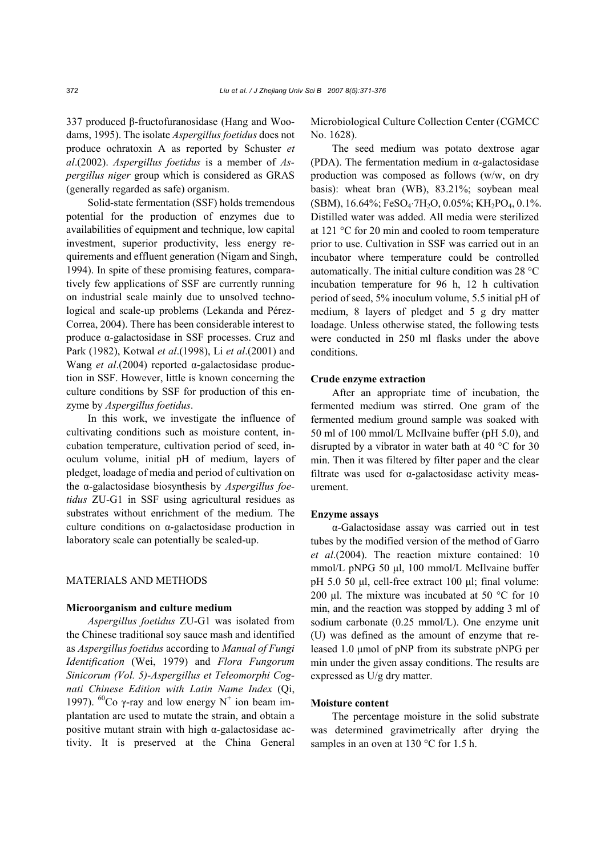337 produced β-fructofuranosidase (Hang and Woodams, 1995). The isolate *Aspergillus foetidus* does not produce ochratoxin A as reported by Schuster *et al*.(2002). *Aspergillus foetidus* is a member of *Aspergillus niger* group which is considered as GRAS (generally regarded as safe) organism.

Solid-state fermentation (SSF) holds tremendous potential for the production of enzymes due to availabilities of equipment and technique, low capital investment, superior productivity, less energy requirements and effluent generation (Nigam and Singh, 1994). In spite of these promising features, comparatively few applications of SSF are currently running on industrial scale mainly due to unsolved technological and scale-up problems (Lekanda and Pérez-Correa, 2004). There has been considerable interest to produce α-galactosidase in SSF processes. Cruz and Park (1982), Kotwal *et al*.(1998), Li *et al*.(2001) and Wang *et al*.(2004) reported α-galactosidase production in SSF. However, little is known concerning the culture conditions by SSF for production of this enzyme by *Aspergillus foetidus*.

In this work, we investigate the influence of cultivating conditions such as moisture content, incubation temperature, cultivation period of seed, inoculum volume, initial pH of medium, layers of pledget, loadage of media and period of cultivation on the α-galactosidase biosynthesis by *Aspergillus foetidus* ZU-G1 in SSF using agricultural residues as substrates without enrichment of the medium. The culture conditions on α-galactosidase production in laboratory scale can potentially be scaled-up.

#### MATERIALS AND METHODS

## **Microorganism and culture medium**

*Aspergillus foetidus* ZU-G1 was isolated from the Chinese traditional soy sauce mash and identified as *Aspergillus foetidus* according to *Manual of Fungi Identification* (Wei, 1979) and *Flora Fungorum Sinicorum (Vol. 5)-Aspergillus et Teleomorphi Cognati Chinese Edition with Latin Name Index* (Qi, 1997). <sup>60</sup>Co γ-ray and low energy N<sup>+</sup> ion beam implantation are used to mutate the strain, and obtain a positive mutant strain with high  $\alpha$ -galactosidase activity. It is preserved at the China General Microbiological Culture Collection Center (CGMCC No. 1628).

The seed medium was potato dextrose agar (PDA). The fermentation medium in  $\alpha$ -galactosidase production was composed as follows (w/w, on dry basis): wheat bran (WB), 83.21%; soybean meal (SBM), 16.64%; FeSO4⋅7H2O, 0.05%; KH2PO4, 0.1%. Distilled water was added. All media were sterilized at 121 °C for 20 min and cooled to room temperature prior to use. Cultivation in SSF was carried out in an incubator where temperature could be controlled automatically. The initial culture condition was 28 °C incubation temperature for 96 h, 12 h cultivation period of seed, 5% inoculum volume, 5.5 initial pH of medium, 8 layers of pledget and 5 g dry matter loadage. Unless otherwise stated, the following tests were conducted in 250 ml flasks under the above conditions.

#### **Crude enzyme extraction**

After an appropriate time of incubation, the fermented medium was stirred. One gram of the fermented medium ground sample was soaked with 50 ml of 100 mmol/L McIlvaine buffer (pH 5.0), and disrupted by a vibrator in water bath at 40 °C for 30 min. Then it was filtered by filter paper and the clear filtrate was used for α-galactosidase activity measurement.

#### **Enzyme assays**

α-Galactosidase assay was carried out in test tubes by the modified version of the method of Garro *et al*.(2004). The reaction mixture contained: 10 mmol/L pNPG 50 µl, 100 mmol/L McIlvaine buffer pH 5.0 50 µl, cell-free extract 100 µl; final volume: 200 µl. The mixture was incubated at 50  $^{\circ}$ C for 10 min, and the reaction was stopped by adding 3 ml of sodium carbonate (0.25 mmol/L). One enzyme unit (U) was defined as the amount of enzyme that released 1.0 µmol of pNP from its substrate pNPG per min under the given assay conditions. The results are expressed as U/g dry matter.

#### **Moisture content**

The percentage moisture in the solid substrate was determined gravimetrically after drying the samples in an oven at 130 °C for 1.5 h.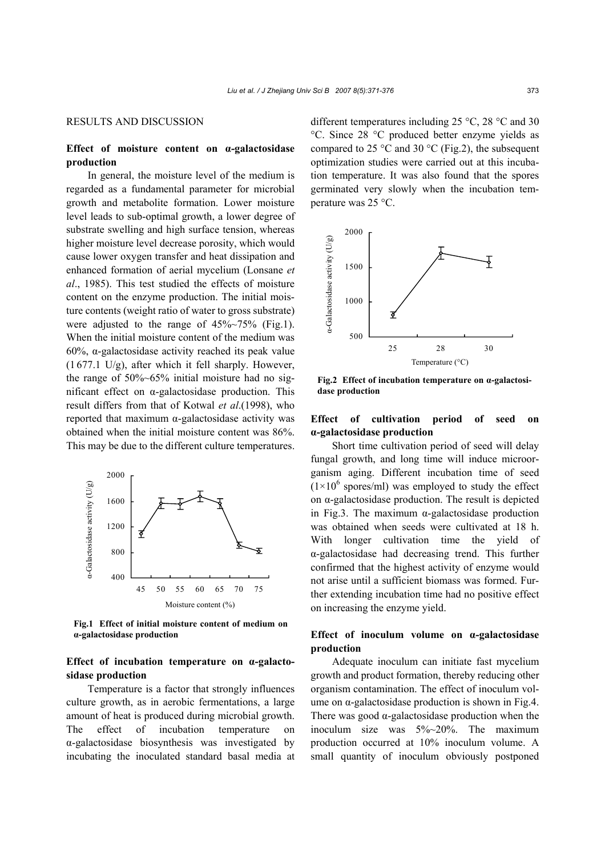## RESULTS AND DISCUSSION

# **Effect of moisture content on α-galactosidase production**

In general, the moisture level of the medium is regarded as a fundamental parameter for microbial growth and metabolite formation. Lower moisture level leads to sub-optimal growth, a lower degree of substrate swelling and high surface tension, whereas higher moisture level decrease porosity, which would cause lower oxygen transfer and heat dissipation and enhanced formation of aerial mycelium (Lonsane *et al*., 1985). This test studied the effects of moisture content on the enzyme production. The initial moisture contents (weight ratio of water to gross substrate) were adjusted to the range of 45%~75% (Fig.1). When the initial moisture content of the medium was 60%, α-galactosidase activity reached its peak value (1 677.1 U/g), after which it fell sharply. However, the range of  $50\%~65\%$  initial moisture had no significant effect on α-galactosidase production. This result differs from that of Kotwal *et al*.(1998), who reported that maximum α-galactosidase activity was obtained when the initial moisture content was 86%. This may be due to the different culture temperatures.



**Fig.1 Effect of initial moisture content of medium on α-galactosidase production** 

# **Effect of incubation temperature on α-galactosidase production**

Temperature is a factor that strongly influences culture growth, as in aerobic fermentations, a large amount of heat is produced during microbial growth. The effect of incubation temperature on α-galactosidase biosynthesis was investigated by incubating the inoculated standard basal media at different temperatures including 25 °C, 28 °C and 30 °C. Since 28 °C produced better enzyme yields as compared to 25  $\degree$ C and 30  $\degree$ C (Fig.2), the subsequent optimization studies were carried out at this incubation temperature. It was also found that the spores germinated very slowly when the incubation temperature was 25 °C.



**Fig.2 Effect of incubation temperature on α-galactosidase production** 

## **Effect of cultivation period of seed on α-galactosidase production**

Short time cultivation period of seed will delay fungal growth, and long time will induce microorganism aging. Different incubation time of seed  $(1\times10^6$  spores/ml) was employed to study the effect on α-galactosidase production. The result is depicted in Fig.3. The maximum α-galactosidase production was obtained when seeds were cultivated at 18 h. With longer cultivation time the yield of α-galactosidase had decreasing trend. This further confirmed that the highest activity of enzyme would not arise until a sufficient biomass was formed. Further extending incubation time had no positive effect on increasing the enzyme yield.

# **Effect of inoculum volume on α-galactosidase production**

Adequate inoculum can initiate fast mycelium growth and product formation, thereby reducing other organism contamination. The effect of inoculum volume on  $\alpha$ -galactosidase production is shown in Fig.4. There was good  $\alpha$ -galactosidase production when the inoculum size was 5%~20%. The maximum production occurred at 10% inoculum volume. A small quantity of inoculum obviously postponed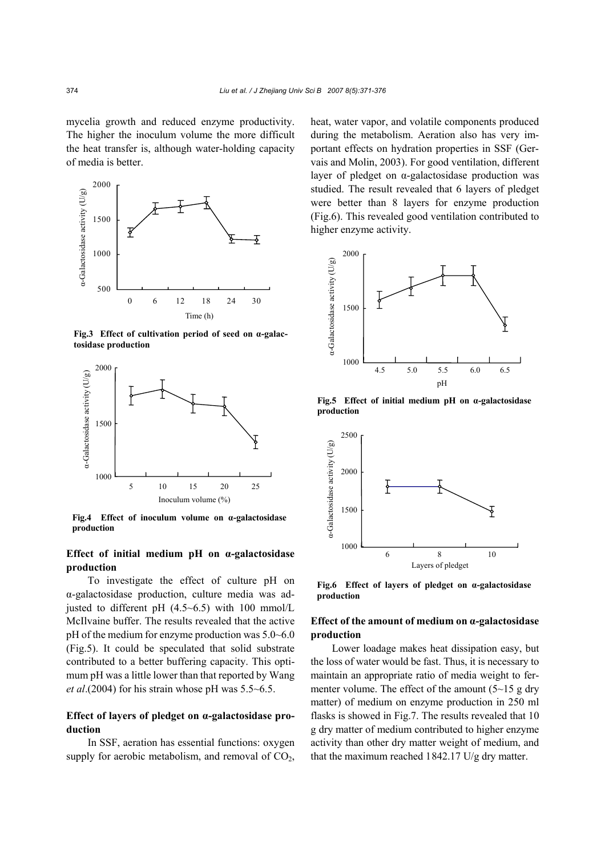mycelia growth and reduced enzyme productivity. The higher the inoculum volume the more difficult the heat transfer is, although water-holding capacity of media is better.



**Fig.3 Effect of cultivation period of seed on α-galactosidase production** 



**Fig.4 Effect of inoculum volume on α-galactosidase production** 

# **Effect of initial medium pH on α-galactosidase production**

To investigate the effect of culture pH on α-galactosidase production, culture media was adjusted to different pH  $(4.5~6.5)$  with 100 mmol/L McIlvaine buffer. The results revealed that the active pH of the medium for enzyme production was 5.0~6.0 (Fig.5). It could be speculated that solid substrate contributed to a better buffering capacity. This optimum pH was a little lower than that reported by Wang *et al*.(2004) for his strain whose pH was 5.5~6.5.

# **Effect of layers of pledget on α-galactosidase production**

In SSF, aeration has essential functions: oxygen supply for aerobic metabolism, and removal of  $CO<sub>2</sub>$ , heat, water vapor, and volatile components produced during the metabolism. Aeration also has very important effects on hydration properties in SSF (Gervais and Molin, 2003). For good ventilation, different layer of pledget on α-galactosidase production was studied. The result revealed that 6 layers of pledget were better than 8 layers for enzyme production (Fig.6). This revealed good ventilation contributed to higher enzyme activity.



**Fig.5 Effect of initial medium pH on α-galactosidase production** 



**Fig.6 Effect of layers of pledget on α-galactosidase production** 

## **Effect of the amount of medium on α-galactosidase production**

Lower loadage makes heat dissipation easy, but the loss of water would be fast. Thus, it is necessary to maintain an appropriate ratio of media weight to fermenter volume. The effect of the amount  $(5~15 g$  dry matter) of medium on enzyme production in 250 ml flasks is showed in Fig.7. The results revealed that 10 g dry matter of medium contributed to higher enzyme activity than other dry matter weight of medium, and that the maximum reached 1842.17 U/g dry matter.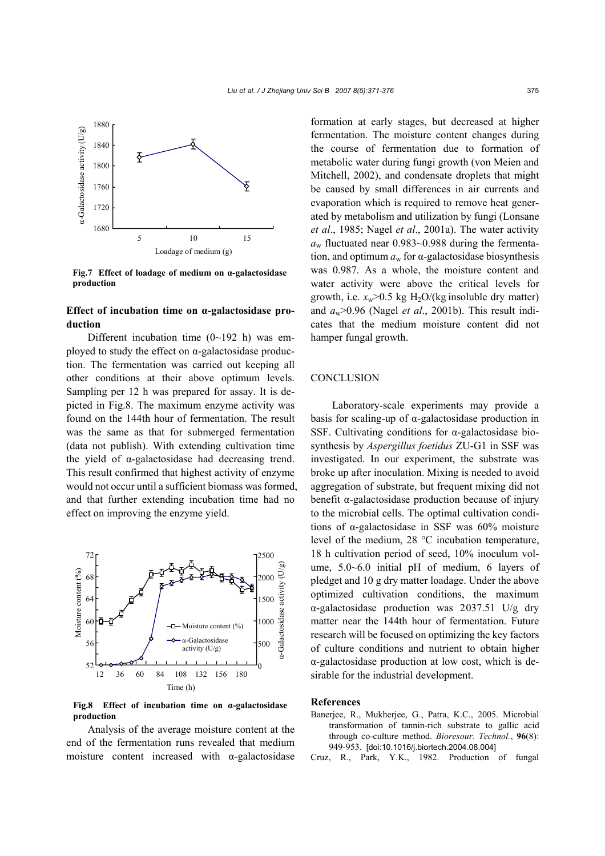

**Fig.7 Effect of loadage of medium on α-galactosidase production** 

# **Effect of incubation time on α-galactosidase production**

Different incubation time  $(0{\sim}192 \text{ h})$  was employed to study the effect on  $\alpha$ -galactosidase production. The fermentation was carried out keeping all other conditions at their above optimum levels. Sampling per 12 h was prepared for assay. It is depicted in Fig.8. The maximum enzyme activity was found on the 144th hour of fermentation. The result was the same as that for submerged fermentation (data not publish). With extending cultivation time the yield of α-galactosidase had decreasing trend. This result confirmed that highest activity of enzyme would not occur until a sufficient biomass was formed, and that further extending incubation time had no effect on improving the enzyme yield.



**Fig.8 Effect of incubation time on α-galactosidase production** 

Analysis of the average moisture content at the end of the fermentation runs revealed that medium moisture content increased with  $\alpha$ -galactosidase

formation at early stages, but decreased at higher fermentation. The moisture content changes during the course of fermentation due to formation of metabolic water during fungi growth (von Meien and Mitchell, 2002), and condensate droplets that might be caused by small differences in air currents and evaporation which is required to remove heat generated by metabolism and utilization by fungi (Lonsane *et al*., 1985; Nagel *et al*., 2001a). The water activity  $a_w$  fluctuated near 0.983~0.988 during the fermentation, and optimum  $a_w$  for  $\alpha$ -galactosidase biosynthesis was 0.987. As a whole, the moisture content and water activity were above the critical levels for growth, i.e.  $x_w$  > 0.5 kg H<sub>2</sub>O/(kg insoluble dry matter) and  $a_w$  > 0.96 (Nagel *et al.*, 2001b). This result indicates that the medium moisture content did not hamper fungal growth.

## **CONCLUSION**

Laboratory-scale experiments may provide a basis for scaling-up of α-galactosidase production in SSF. Cultivating conditions for α-galactosidase biosynthesis by *Aspergillus foetidus* ZU-G1 in SSF was investigated. In our experiment, the substrate was broke up after inoculation. Mixing is needed to avoid aggregation of substrate, but frequent mixing did not benefit α-galactosidase production because of injury to the microbial cells. The optimal cultivation conditions of α-galactosidase in SSF was 60% moisture level of the medium, 28 °C incubation temperature, 18 h cultivation period of seed, 10% inoculum volume, 5.0~6.0 initial pH of medium, 6 layers of pledget and 10 g dry matter loadage. Under the above optimized cultivation conditions, the maximum α-galactosidase production was 2037.51 U/g dry matter near the 144th hour of fermentation. Future research will be focused on optimizing the key factors of culture conditions and nutrient to obtain higher α-galactosidase production at low cost, which is desirable for the industrial development.

#### **References**

- Banerjee, R., Mukherjee, G., Patra, K.C., 2005. Microbial transformation of tannin-rich substrate to gallic acid through co-culture method. *Bioresour. Technol.*, **96**(8): 949-953. [doi:10.1016/j.biortech.2004.08.004]
- Cruz, R., Park, Y.K., 1982. Production of fungal